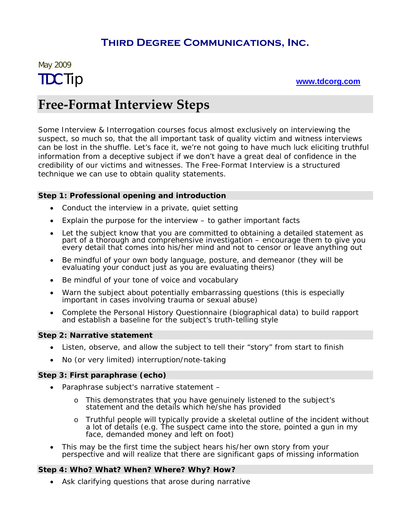### **Third Degree Communications, Inc.**

# May 2009 TDC Tip **[www.tdcorg.com](http://www.tdcorg.com/)**

# **Free‐Format Interview Steps**

Some Interview & Interrogation courses focus almost exclusively on interviewing the suspect, so much so, that the all important task of quality victim and witness interviews can be lost in the shuffle. Let's face it, we're not going to have much luck eliciting truthful information from a deceptive subject if we don't have a great deal of confidence in the credibility of our victims and witnesses. The Free-Format Interview is a structured technique we can use to obtain quality statements.

#### **Step 1: Professional opening and introduction**

- Conduct the interview in a private, quiet setting
- Explain the purpose for the interview to gather important facts
- Let the subject know that you are committed to obtaining a detailed statement as part of a thorough and comprehensive investigation – encourage them to give you every detail that comes into his/her mind and not to censor or leave anything out
- Be mindful of your own body language, posture, and demeanor (they will be evaluating your conduct just as you are evaluating theirs)
- Be mindful of your tone of voice and vocabulary
- Warn the subject about potentially embarrassing questions (this is especially important in cases involving trauma or sexual abuse)
- Complete the Personal History Questionnaire (biographical data) to build rapport and establish a baseline for the subject's truth-telling style

#### **Step 2: Narrative statement**

- Listen, observe, and allow the subject to tell their "story" from start to finish
- No (or very limited) interruption/note-taking

#### **Step 3: First paraphrase (echo)**

- Paraphrase subject's narrative statement
	- o This demonstrates that you have genuinely listened to the subject's statement and the details which he/she has provided
	- o Truthful people will typically provide a skeletal outline of the incident without a lot of details (e.g. *The suspect came into the store, pointed a gun in my face, demanded money and left on foot*)
- This may be the first time the subject hears his/her own story from your perspective and will realize that there are significant gaps of missing information

#### **Step 4: Who? What? When? Where? Why? How?**

• Ask clarifying questions that arose during narrative